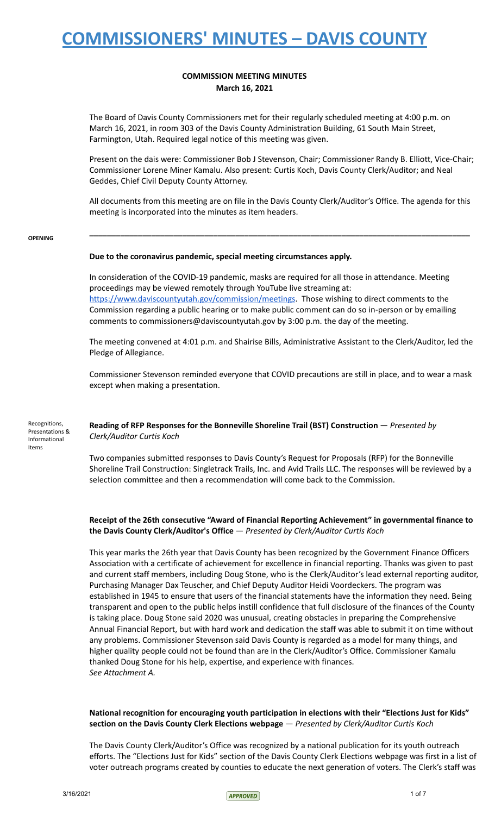### **COMMISSION MEETING MINUTES March 16, 2021**

The Board of Davis County Commissioners met for their regularly scheduled meeting at 4:00 p.m. on March 16, 2021, in room 303 of the Davis County Administration Building, 61 South Main Street, Farmington, Utah. Required legal notice of this meeting was given.

Present on the dais were: Commissioner Bob J Stevenson, Chair; Commissioner Randy B. Elliott, Vice-Chair; Commissioner Lorene Miner Kamalu. Also present: Curtis Koch, Davis County Clerk/Auditor; and Neal Geddes, Chief Civil Deputy County Attorney.

All documents from this meeting are on file in the Davis County Clerk/Auditor's Office. The agenda for this meeting is incorporated into the minutes as item headers.

**\_\_\_\_\_\_\_\_\_\_\_\_\_\_\_\_\_\_\_\_\_\_\_\_\_\_\_\_\_\_\_\_\_\_\_\_\_\_\_\_\_\_\_\_\_\_\_\_\_\_\_\_\_\_\_\_\_\_\_\_\_\_\_\_\_\_\_\_\_\_\_\_\_\_\_\_\_\_\_\_\_\_\_\_\_\_**

#### **OPENING**

### **Due to the coronavirus pandemic, special meeting circumstances apply.**

In consideration of the COVID-19 pandemic, masks are required for all those in attendance. Meeting proceedings may be viewed remotely through YouTube live streaming at: <https://www.daviscountyutah.gov/commission/meetings>. Those wishing to direct comments to the Commission regarding a public hearing or to make public comment can do so in-person or by emailing comments to commissioners@daviscountyutah.gov by 3:00 p.m. the day of the meeting.

The meeting convened at 4:01 p.m. and Shairise Bills, Administrative Assistant to the Clerk/Auditor, led the Pledge of Allegiance.

Commissioner Stevenson reminded everyone that COVID precautions are still in place, and to wear a mask except when making a presentation.

Recognitions, Presentations & Informational Items

**Reading of RFP Responses for the Bonneville Shoreline Trail (BST) Construction** — *Presented by Clerk/Auditor Curtis Koch*

Two companies submitted responses to Davis County's Request for Proposals (RFP) for the Bonneville Shoreline Trail Construction: Singletrack Trails, Inc. and Avid Trails LLC. The responses will be reviewed by a selection committee and then a recommendation will come back to the Commission.

### **Receipt of the 26th consecutive "Award of Financial Reporting Achievement" in governmental finance to the Davis County Clerk/Auditor's Office** — *Presented by Clerk/Auditor Curtis Koch*

This year marks the 26th year that Davis County has been recognized by the Government Finance Officers Association with a certificate of achievement for excellence in financial reporting. Thanks was given to past and current staff members, including Doug Stone, who is the Clerk/Auditor's lead external reporting auditor, Purchasing Manager Dax Teuscher, and Chief Deputy Auditor Heidi Voordeckers. The program was established in 1945 to ensure that users of the financial statements have the information they need. Being transparent and open to the public helps instill confidence that full disclosure of the finances of the County is taking place. Doug Stone said 2020 was unusual, creating obstacles in preparing the Comprehensive Annual Financial Report, but with hard work and dedication the staff was able to submit it on time without any problems. Commissioner Stevenson said Davis County is regarded as a model for many things, and higher quality people could not be found than are in the Clerk/Auditor's Office. Commissioner Kamalu thanked Doug Stone for his help, expertise, and experience with finances. *See Attachment A.*

### **National recognition for encouraging youth participation in elections with their "Elections Just for Kids" section on the Davis County Clerk Elections webpage** — *Presented by Clerk/Auditor Curtis Koch*

The Davis County Clerk/Auditor's Office was recognized by a national publication for its youth outreach efforts. The "Elections Just for Kids" section of the Davis County Clerk Elections webpage was first in a list of voter outreach programs created by counties to educate the next generation of voters. The Clerk's staff was

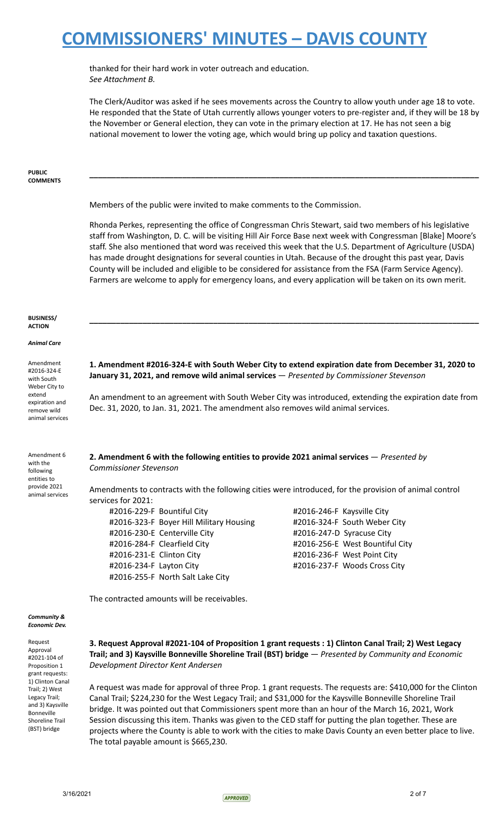thanked for their hard work in voter outreach and education. *See Attachment B.*

The Clerk/Auditor was asked if he sees movements across the Country to allow youth under age 18 to vote. He responded that the State of Utah currently allows younger voters to pre-register and, if they will be 18 by the November or General election, they can vote in the primary election at 17. He has not seen a big national movement to lower the voting age, which would bring up policy and taxation questions.

**\_\_\_\_\_\_\_\_\_\_\_\_\_\_\_\_\_\_\_\_\_\_\_\_\_\_\_\_\_\_\_\_\_\_\_\_\_\_\_\_\_\_\_\_\_\_\_\_\_\_\_\_\_\_\_\_\_\_\_\_\_\_\_\_\_\_\_\_\_\_\_\_\_\_\_\_\_\_\_\_\_\_\_\_\_\_\_\_**

#### **PUBLIC COMMENTS**

Members of the public were invited to make comments to the Commission.

Rhonda Perkes, representing the office of Congressman Chris Stewart, said two members of his legislative staff from Washington, D. C. will be visiting Hill Air Force Base next week with Congressman [Blake] Moore's staff. She also mentioned that word was received this week that the U.S. Department of Agriculture (USDA) has made drought designations for several counties in Utah. Because of the drought this past year, Davis County will be included and eligible to be considered for assistance from the FSA (Farm Service Agency). Farmers are welcome to apply for emergency loans, and every application will be taken on its own merit.

#### **BUSINESS/ ACTION**

#### *Animal Care*

Amendment #2016-324-E with South Weber City to extend expiration and remove wild animal services **1. Amendment #2016-324-E with South Weber City to extend expiration date from December 31, 2020 to January 31, 2021, and remove wild animal services** — *Presented by Commissioner Stevenson*

**\_\_\_\_\_\_\_\_\_\_\_\_\_\_\_\_\_\_\_\_\_\_\_\_\_\_\_\_\_\_\_\_\_\_\_\_\_\_\_\_\_\_\_\_\_\_\_\_\_\_\_\_\_\_\_\_\_\_\_\_\_\_\_\_\_\_\_\_\_\_\_\_\_\_\_\_\_\_\_\_\_\_\_\_\_\_\_\_**

An amendment to an agreement with South Weber City was introduced, extending the expiration date from Dec. 31, 2020, to Jan. 31, 2021. The amendment also removes wild animal services.

### **2. Amendment 6 with the following entities to provide 2021 animal services** — *Presented by Commissioner Stevenson*

with the following entities to provide 2021 animal services

Amendment 6

Amendments to contracts with the following cities were introduced, for the provision of animal control services for 2021:

#2016-229-F Bountiful City #2016-246-F Kaysville City #2016-323-F Boyer Hill Military Housing #2016-324-F South Weber City #2016-230-E Centerville City #2016-247-D Syracuse City #2016-284-F Clearfield City #2016-256-E West Bountiful City #2016-231-E Clinton City #2016-236-F West Point City #2016-234-F Layton City #2016-237-F Woods Cross City #2016-255-F North Salt Lake City

The contracted amounts will be receivables.

#### *Community & Economic Dev.*

Request Approval #2021-104 of Proposition 1 grant requests: 1) Clinton Canal Trail; 2) West Legacy Trail; and 3) Kaysville Bonneville Shoreline Trail (BST) bridge

### **3. Request Approval #2021-104 of Proposition 1 grant requests : 1) Clinton Canal Trail; 2) West Legacy Trail; and 3) Kaysville Bonneville Shoreline Trail (BST) bridge** — *Presented by Community and Economic Development Director Kent Andersen*

A request was made for approval of three Prop. 1 grant requests. The requests are: \$410,000 for the Clinton Canal Trail; \$224,230 for the West Legacy Trail; and \$31,000 for the Kaysville Bonneville Shoreline Trail bridge. It was pointed out that Commissioners spent more than an hour of the March 16, 2021, Work Session discussing this item. Thanks was given to the CED staff for putting the plan together. These are projects where the County is able to work with the cities to make Davis County an even better place to live. The total payable amount is \$665,230.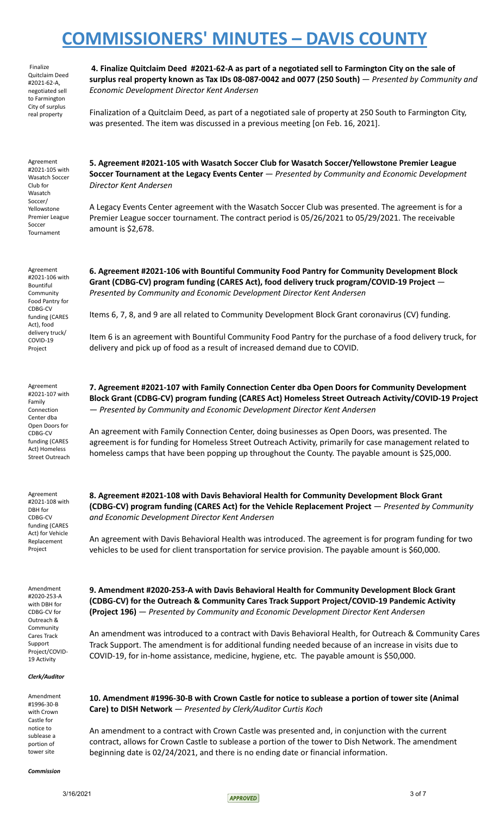Finalize Quitclaim Deed #2021-62-A, negotiated sell to Farmington City of surplus real property

4. Finalize Quitclaim Deed #2021-62-A as part of a negotiated sell to Farmington City on the sale of **surplus real property known as Tax IDs 08-087-0042 and 0077 (250 South)** — *Presented by Community and Economic Development Director Kent Andersen*

Finalization of a Quitclaim Deed, as part of a negotiated sale of property at 250 South to Farmington City, was presented. The item was discussed in a previous meeting [on Feb. 16, 2021].

Agreement #2021-105 with Wasatch Soccer Club for Wasatch Soccer/ Yellowstone Premier League Soccer Tournament

Agreement #2021-106 with Bountiful Community Food Pantry for CDBG-CV funding (CARES Act), food delivery truck/ COVID-19 Project

**5. Agreement #2021-105 with Wasatch Soccer Club for Wasatch Soccer/Yellowstone Premier League Soccer Tournament at the Legacy Events Center** — *Presented by Community and Economic Development Director Kent Andersen*

A Legacy Events Center agreement with the Wasatch Soccer Club was presented. The agreement is for a Premier League soccer tournament. The contract period is 05/26/2021 to 05/29/2021. The receivable amount is \$2,678.

**6. Agreement #2021-106 with Bountiful Community Food Pantry for Community Development Block Grant (CDBG-CV) program funding (CARES Act), food delivery truck program/COVID-19 Project** — *Presented by Community and Economic Development Director Kent Andersen*

Items 6, 7, 8, and 9 are all related to Community Development Block Grant coronavirus (CV) funding.

Item 6 is an agreement with Bountiful Community Food Pantry for the purchase of a food delivery truck, for delivery and pick up of food as a result of increased demand due to COVID.

Agreement #2021-107 with Family Connection Center dba Open Doors for CDBG-CV funding (CARES Act) Homeless Street Outreach

Agreement #2021-108 with DBH for CDBG-CV funding (CARES Act) for Vehicle Replacement Project

Amendment #2020-253-A with DBH for CDBG-CV for Outreach & Community Cares Track Support Project/COVID-19 Activity

#### *Clerk/Auditor*

Amendment #1996-30-B with Crown Castle for notice to sublease a portion of tower site

*Commission*

— *Presented by Community and Economic Development Director Kent Andersen* An agreement with Family Connection Center, doing businesses as Open Doors, was presented. The agreement is for funding for Homeless Street Outreach Activity, primarily for case management related to

**7. Agreement #2021-107 with Family Connection Center dba Open Doors for Community Development Block Grant (CDBG-CV) program funding (CARES Act) Homeless Street Outreach Activity/COVID-19 Project**

homeless camps that have been popping up throughout the County. The payable amount is \$25,000.

**8. Agreement #2021-108 with Davis Behavioral Health for Community Development Block Grant (CDBG-CV) program funding (CARES Act) for the Vehicle Replacement Project** — *Presented by Community and Economic Development Director Kent Andersen*

An agreement with Davis Behavioral Health was introduced. The agreement is for program funding for two vehicles to be used for client transportation for service provision. The payable amount is \$60,000.

**9. Amendment #2020-253-A with Davis Behavioral Health for Community Development Block Grant (CDBG-CV) for the Outreach & Community Cares Track Support Project/COVID-19 Pandemic Activity (Project 196)** — *Presented by Community and Economic Development Director Kent Andersen*

An amendment was introduced to a contract with Davis Behavioral Health, for Outreach & Community Cares Track Support. The amendment is for additional funding needed because of an increase in visits due to COVID-19, for in-home assistance, medicine, hygiene, etc. The payable amount is \$50,000.

**10. Amendment #1996-30-B with Crown Castle for notice to sublease a portion of tower site (Animal Care) to DISH Network** — *Presented by Clerk/Auditor Curtis Koch*

An amendment to a contract with Crown Castle was presented and, in conjunction with the current contract, allows for Crown Castle to sublease a portion of the tower to Dish Network. The amendment beginning date is 02/24/2021, and there is no ending date or financial information.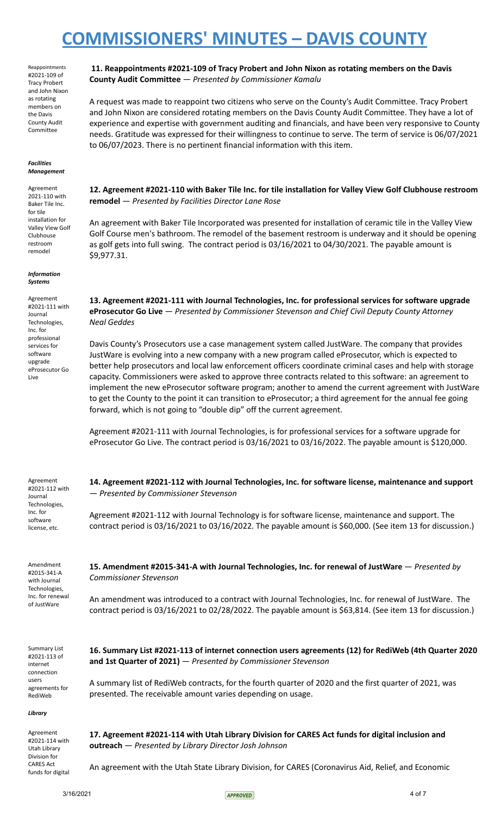Reappointments #2021-109 of Tracy Probert and John Nixon as rotating members on the Davis County Audit Committee

#### *Facilities Management*

Agreement 2021-110 with Baker Tile Inc. for tile installation for Valley View Golf Clubhouse restroom remodel

*Information Systems*

Agreement #2021-111 with Journal Technologies, Inc. for professional services for software upgrade eProsecutor Go Live

**11. Reappointments #2021-109 of Tracy Probert and John Nixon as rotating members on the Davis County Audit Committee** — *Presented by Commissioner Kamalu*

A request was made to reappoint two citizens who serve on the County's Audit Committee. Tracy Probert and John Nixon are considered rotating members on the Davis County Audit Committee. They have a lot of experience and expertise with government auditing and financials, and have been very responsive to County needs. Gratitude was expressed for their willingness to continue to serve. The term of service is 06/07/2021 to 06/07/2023. There is no pertinent financial information with this item.

**12. Agreement #2021-110 with Baker Tile Inc. for tile installation for Valley View Golf Clubhouse restroom remodel** — *Presented by Facilities Director Lane Rose*

An agreement with Baker Tile Incorporated was presented for installation of ceramic tile in the Valley View Golf Course men's bathroom. The remodel of the basement restroom is underway and it should be opening as golf gets into full swing. The contract period is 03/16/2021 to 04/30/2021. The payable amount is \$9,977.31.

**13. Agreement #2021-111 with Journal Technologies, Inc. for professional services for software upgrade eProsecutor Go Live** — *Presented by Commissioner Stevenson and Chief Civil Deputy County Attorney Neal Geddes*

Davis County's Prosecutors use a case management system called JustWare. The company that provides JustWare is evolving into a new company with a new program called eProsecutor, which is expected to better help prosecutors and local law enforcement officers coordinate criminal cases and help with storage capacity. Commissioners were asked to approve three contracts related to this software: an agreement to implement the new eProsecutor software program; another to amend the current agreement with JustWare to get the County to the point it can transition to eProsecutor; a third agreement for the annual fee going forward, which is not going to "double dip" off the current agreement.

Agreement #2021-111 with Journal Technologies, is for professional services for a software upgrade for eProsecutor Go Live. The contract period is 03/16/2021 to 03/16/2022. The payable amount is \$120,000.

**14. Agreement #2021-112 with Journal Technologies, Inc. for software license, maintenance and support**

Agreement #2021-112 with Journal Technologies, Inc. for software license, etc.

— *Presented by Commissioner Stevenson*

*Commissioner Stevenson*

Amendment #2015-341-A with Journal Technologies, Inc. for renewal of JustWare

Summary List #2021-113 of internet connection users agreements for RediWeb

**15. Amendment #2015-341-A with Journal Technologies, Inc. for renewal of JustWare** — *Presented by*

Agreement #2021-112 with Journal Technology is for software license, maintenance and support. The contract period is 03/16/2021 to 03/16/2022. The payable amount is \$60,000. (See item 13 for discussion.)

An amendment was introduced to a contract with Journal Technologies, Inc. for renewal of JustWare. The contract period is 03/16/2021 to 02/28/2022. The payable amount is \$63,814. (See item 13 for discussion.)

**16. Summary List #2021-113 of internet connection users agreements (12) for RediWeb (4th Quarter 2020 and 1st Quarter of 2021)** — *Presented by Commissioner Stevenson*

A summary list of RediWeb contracts, for the fourth quarter of 2020 and the first quarter of 2021, was presented. The receivable amount varies depending on usage.

*Library*

Agreement #2021-114 with Utah Library Division for CARES Act funds for digital **17. Agreement #2021-114 with Utah Library Division for CARES Act funds for digital inclusion and outreach** — *Presented by Library Director Josh Johnson*

An agreement with the Utah State Library Division, for CARES (Coronavirus Aid, Relief, and Economic

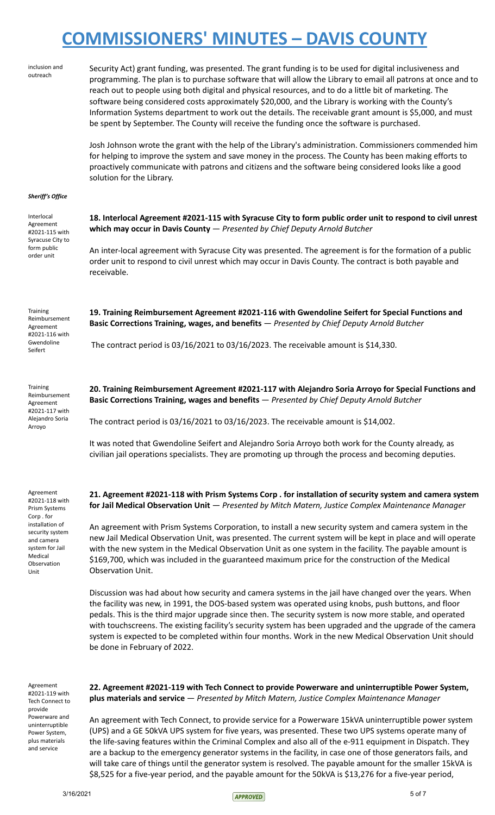| inclusion and<br>outreach                                                                             | Security Act) grant funding, was presented. The grant funding is to be used for digital inclusiveness and<br>programming. The plan is to purchase software that will allow the Library to email all patrons at once and to<br>reach out to people using both digital and physical resources, and to do a little bit of marketing. The<br>software being considered costs approximately \$20,000, and the Library is working with the County's<br>Information Systems department to work out the details. The receivable grant amount is \$5,000, and must<br>be spent by September. The County will receive the funding once the software is purchased.<br>Josh Johnson wrote the grant with the help of the Library's administration. Commissioners commended him<br>for helping to improve the system and save money in the process. The County has been making efforts to |
|-------------------------------------------------------------------------------------------------------|------------------------------------------------------------------------------------------------------------------------------------------------------------------------------------------------------------------------------------------------------------------------------------------------------------------------------------------------------------------------------------------------------------------------------------------------------------------------------------------------------------------------------------------------------------------------------------------------------------------------------------------------------------------------------------------------------------------------------------------------------------------------------------------------------------------------------------------------------------------------------|
|                                                                                                       | proactively communicate with patrons and citizens and the software being considered looks like a good<br>solution for the Library.                                                                                                                                                                                                                                                                                                                                                                                                                                                                                                                                                                                                                                                                                                                                           |
| Sheriff's Office                                                                                      |                                                                                                                                                                                                                                                                                                                                                                                                                                                                                                                                                                                                                                                                                                                                                                                                                                                                              |
| Interlocal<br>Agreement<br>#2021-115 with<br>Syracuse City to<br>form public<br>order unit            | 18. Interlocal Agreement #2021-115 with Syracuse City to form public order unit to respond to civil unrest<br>which may occur in Davis County $-$ Presented by Chief Deputy Arnold Butcher                                                                                                                                                                                                                                                                                                                                                                                                                                                                                                                                                                                                                                                                                   |
|                                                                                                       | An inter-local agreement with Syracuse City was presented. The agreement is for the formation of a public<br>order unit to respond to civil unrest which may occur in Davis County. The contract is both payable and<br>receivable.                                                                                                                                                                                                                                                                                                                                                                                                                                                                                                                                                                                                                                          |
| Training<br>Reimbursement<br>Agreement<br>#2021-116 with<br>Gwendoline<br>Seifert                     | 19. Training Reimbursement Agreement #2021-116 with Gwendoline Seifert for Special Functions and<br>Basic Corrections Training, wages, and benefits - Presented by Chief Deputy Arnold Butcher                                                                                                                                                                                                                                                                                                                                                                                                                                                                                                                                                                                                                                                                               |
|                                                                                                       | The contract period is 03/16/2021 to 03/16/2023. The receivable amount is \$14,330.                                                                                                                                                                                                                                                                                                                                                                                                                                                                                                                                                                                                                                                                                                                                                                                          |
| Training<br>Reimbursement<br>Agreement<br>#2021-117 with<br>Alejandro Soria<br>Arroyo                 | 20. Training Reimbursement Agreement #2021-117 with Alejandro Soria Arroyo for Special Functions and<br>Basic Corrections Training, wages and benefits - Presented by Chief Deputy Arnold Butcher                                                                                                                                                                                                                                                                                                                                                                                                                                                                                                                                                                                                                                                                            |
|                                                                                                       | The contract period is $03/16/2021$ to $03/16/2023$ . The receivable amount is \$14,002.                                                                                                                                                                                                                                                                                                                                                                                                                                                                                                                                                                                                                                                                                                                                                                                     |
|                                                                                                       | It was noted that Gwendoline Seifert and Alejandro Soria Arroyo both work for the County already, as<br>civilian jail operations specialists. They are promoting up through the process and becoming deputies.                                                                                                                                                                                                                                                                                                                                                                                                                                                                                                                                                                                                                                                               |
| Agreement<br>#2021-118 with<br>Prism Systems<br>Corp. for                                             | 21. Agreement #2021-118 with Prism Systems Corp . for installation of security system and camera system<br>for Jail Medical Observation Unit - Presented by Mitch Matern, Justice Complex Maintenance Manager                                                                                                                                                                                                                                                                                                                                                                                                                                                                                                                                                                                                                                                                |
| installation of<br>security system<br>and camera<br>system for Jail<br>Medical<br>Observation<br>Unit | An agreement with Prism Systems Corporation, to install a new security system and camera system in the<br>new Jail Medical Observation Unit, was presented. The current system will be kept in place and will operate<br>with the new system in the Medical Observation Unit as one system in the facility. The payable amount is<br>\$169,700, which was included in the guaranteed maximum price for the construction of the Medical<br><b>Observation Unit.</b>                                                                                                                                                                                                                                                                                                                                                                                                           |
|                                                                                                       | Discussion was had about how security and camera systems in the jail have changed over the years. When<br>the facility was new, in 1991, the DOS-based system was operated using knobs, push buttons, and floor<br>pedals. This is the third major upgrade since then. The security system is now more stable, and operated<br>with touchscreens. The existing facility's security system has been upgraded and the upgrade of the camera<br>system is expected to be completed within four months. Work in the new Medical Observation Unit should<br>be done in February of 2022.                                                                                                                                                                                                                                                                                          |
| Agreement<br>#2021-119 with<br>Tech Connect to<br>provide                                             | 22. Agreement #2021-119 with Tech Connect to provide Powerware and uninterruptible Power System,<br>plus materials and service - Presented by Mitch Matern, Justice Complex Maintenance Manager                                                                                                                                                                                                                                                                                                                                                                                                                                                                                                                                                                                                                                                                              |
| Powerware and<br>uninterruptible                                                                      | An agreement with Tech Connect, to provide service for a Powerware 15kVA uninterruptible power system                                                                                                                                                                                                                                                                                                                                                                                                                                                                                                                                                                                                                                                                                                                                                                        |

An agreement with Tech Connect, to provide service for a Powerware 15kVA uninterruptible power system (UPS) and a GE 50kVA UPS system for five years, was presented. These two UPS systems operate many of the life-saving features within the Criminal Complex and also all of the e-911 equipment in Dispatch. They are a backup to the emergency generator systems in the facility, in case one of those generators fails, and will take care of things until the generator system is resolved. The payable amount for the smaller 15kVA is \$8,525 for a five-year period, and the payable amount for the 50kVA is \$13,276 for a five-year period,

Power System, plus materials and service

 $3/16/2021$  5 of 7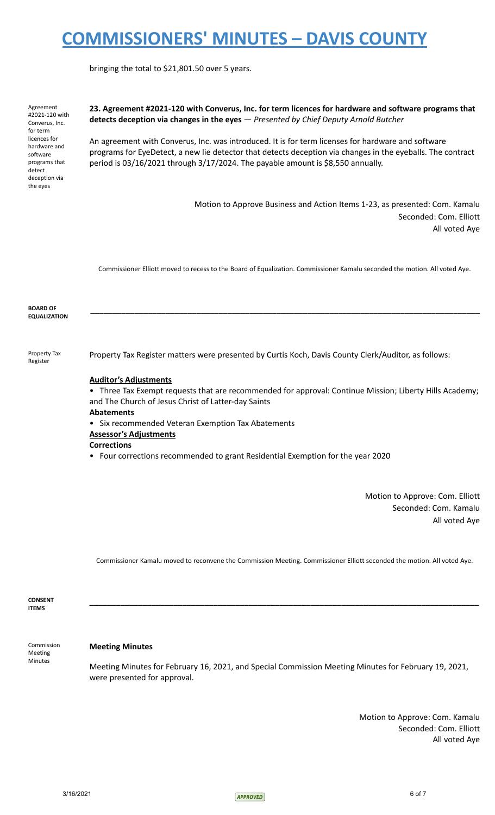bringing the total to \$21,801.50 over 5 years.

Agreement #2021-120 with Converus, Inc. for term licences for hardware and software programs that detect deception via the eyes

**23. Agreement #2021-120 with Converus, Inc. for term licences for hardware and software programs that detects deception via changes in the eyes** — *Presented by Chief Deputy Arnold Butcher*

An agreement with Converus, Inc. was introduced. It is for term licenses for hardware and software programs for EyeDetect, a new lie detector that detects deception via changes in the eyeballs. The contract period is 03/16/2021 through 3/17/2024. The payable amount is \$8,550 annually.

> Motion to Approve Business and Action Items 1-23, as presented: Com. Kamalu Seconded: Com. Elliott All voted Aye

Commissioner Elliott moved to recess to the Board of Equalization. Commissioner Kamalu seconded the motion. All voted Aye.

**\_\_\_\_\_\_\_\_\_\_\_\_\_\_\_\_\_\_\_\_\_\_\_\_\_\_\_\_\_\_\_\_\_\_\_\_\_\_\_\_\_\_\_\_\_\_\_\_\_\_\_\_\_\_\_\_\_\_\_\_\_\_\_\_\_\_\_\_\_\_\_\_\_\_\_\_\_\_\_\_\_\_\_\_\_\_\_\_**

**BOARD OF EQUALIZATION**

Property Tax Register

Property Tax Register matters were presented by Curtis Koch, Davis County Clerk/Auditor, as follows:

### **Auditor's Adjustments**

• Three Tax Exempt requests that are recommended for approval: Continue Mission; Liberty Hills Academy; and The Church of Jesus Christ of Latter-day Saints

#### **Abatements**

• Six recommended Veteran Exemption Tax Abatements

### **Assessor's Adjustments**

**Corrections**

• Four corrections recommended to grant Residential Exemption for the year 2020

Motion to Approve: Com. Elliott Seconded: Com. Kamalu All voted Aye

Commissioner Kamalu moved to reconvene the Commission Meeting. Commissioner Elliott seconded the motion. All voted Aye.

**\_\_\_\_\_\_\_\_\_\_\_\_\_\_\_\_\_\_\_\_\_\_\_\_\_\_\_\_\_\_\_\_\_\_\_\_\_\_\_\_\_\_\_\_\_\_\_\_\_\_\_\_\_\_\_\_\_\_\_\_\_\_\_\_\_\_\_\_\_\_\_\_\_\_\_\_\_\_\_\_\_\_\_\_\_\_\_\_**

**CONSENT ITEMS**

Meeting Minutes

Commission

#### **Meeting Minutes**

Meeting Minutes for February 16, 2021, and Special Commission Meeting Minutes for February 19, 2021, were presented for approval.

> Motion to Approve: Com. Kamalu Seconded: Com. Elliott All voted Aye